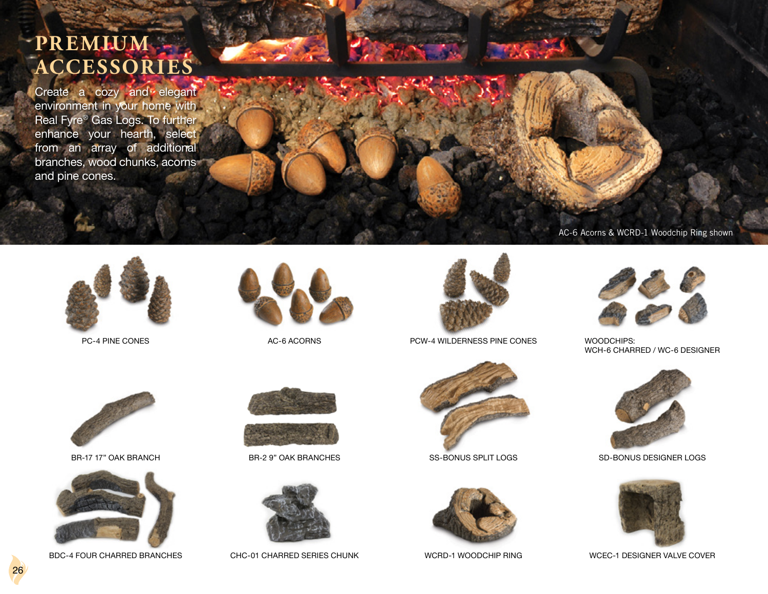## **PR EMIUM ACCESSORIES**

Create a  $cozy$  and elegant environment in your home with Real Fyre® Gas Logs. To further enhance your hearth, select from an array of additional branches, wood chunks, acorns and pine cones.







PCW-4 WILDERNESS PINE CONES PC-4 PINE CONES AC-6 ACORNS WOODCHIPS:



BR-17 17" OAK BRANCH



BDC-4 FOUR CHARRED BRANCHES





BR-2 9" OAK BRANCHES



CHC-01 CHARRED SERIES CHUNK WCRD-1 WOODCHIP RING WCEC-1 DESIGNER VALVE COVER







AC-6 Acorns & WCRD-1 Woodchip Ring shown

WCH-6 CHARRED / WC-6 DESIGNER



SS-BONUS SPLIT LOGS SD-BONUS DESIGNER LOGS



26